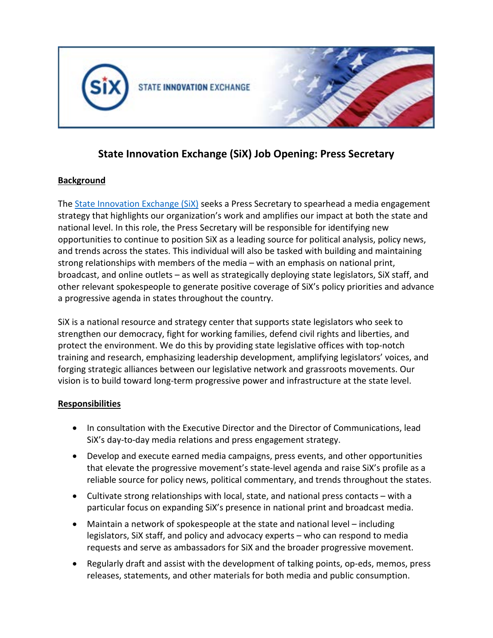

# **State Innovation Exchange (SiX) Job Opening: Press Secretary**

## **Background**

The [State Innovation Exchange \(SiX\)](http://www.stateinnovation.org/) seeks a Press Secretary to spearhead a media engagement strategy that highlights our organization's work and amplifies our impact at both the state and national level. In this role, the Press Secretary will be responsible for identifying new opportunities to continue to position SiX as a leading source for political analysis, policy news, and trends across the states. This individual will also be tasked with building and maintaining strong relationships with members of the media – with an emphasis on national print, broadcast, and online outlets – as well as strategically deploying state legislators, SiX staff, and other relevant spokespeople to generate positive coverage of SiX's policy priorities and advance a progressive agenda in states throughout the country.

SiX is a national resource and strategy center that supports state legislators who seek to strengthen our democracy, fight for working families, defend civil rights and liberties, and protect the environment. We do this by providing state legislative offices with top-notch training and research, emphasizing leadership development, amplifying legislators' voices, and forging strategic alliances between our legislative network and grassroots movements. Our vision is to build toward long-term progressive power and infrastructure at the state level.

#### **Responsibilities**

- In consultation with the Executive Director and the Director of Communications, lead SiX's day-to-day media relations and press engagement strategy.
- Develop and execute earned media campaigns, press events, and other opportunities that elevate the progressive movement's state-level agenda and raise SiX's profile as a reliable source for policy news, political commentary, and trends throughout the states.
- Cultivate strong relationships with local, state, and national press contacts with a particular focus on expanding SiX's presence in national print and broadcast media.
- Maintain a network of spokespeople at the state and national level including legislators, SiX staff, and policy and advocacy experts – who can respond to media requests and serve as ambassadors for SiX and the broader progressive movement.
- Regularly draft and assist with the development of talking points, op-eds, memos, press releases, statements, and other materials for both media and public consumption.